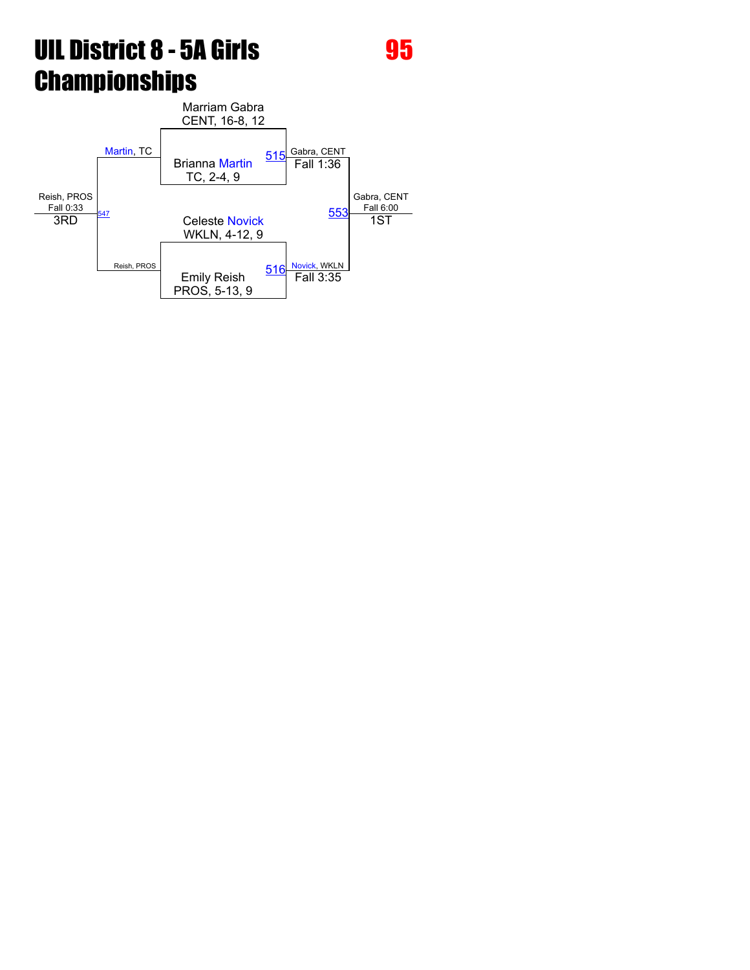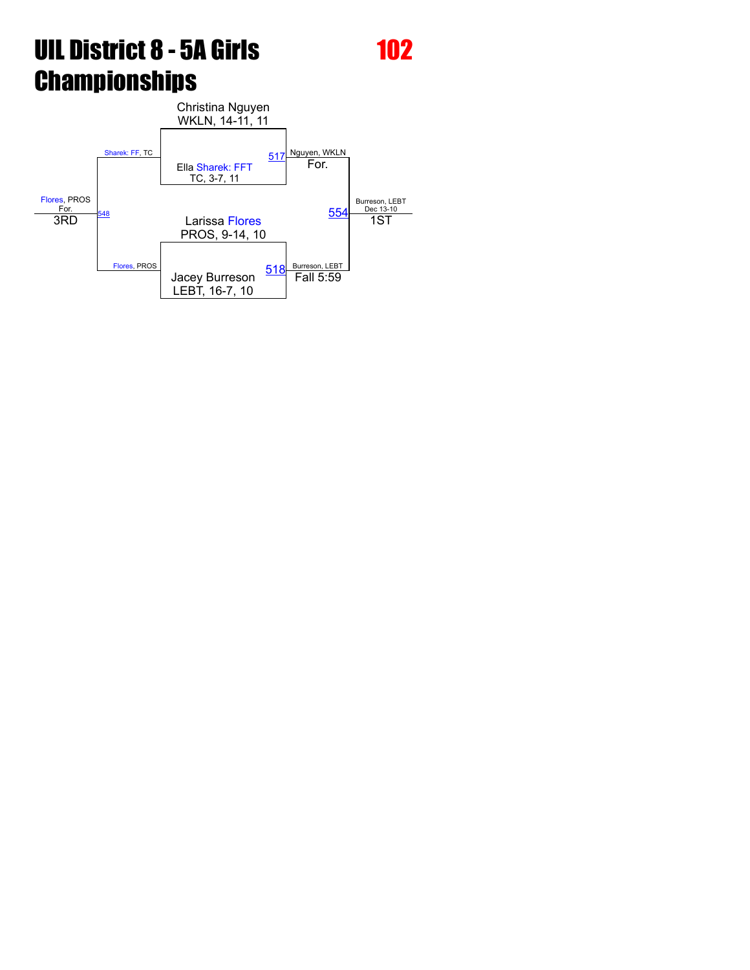[Flores,](javascript:viewProfile(1102543096)) PROS For. [Sharek:](javascript:viewProfile(1084896096)) FF, TC Christina Nguyen WKLN, 14-11, 11 Nguyen, WKLN Burreson, LEBT<br>Dec 13-10 Ella [Sharek:](javascript:viewProfile(1084896096)) FFT TC, 3-7, 11 [517](javascript:openBoutSheet(1,)  $\frac{48}{5}$ [Flores](javascript:viewProfile(1102543096)), PROS For. Larissa [Flores](javascript:viewProfile(1102543096)) [554](javascript:openBoutSheet(3,) 3RD 1ST PROS, 9-14, 10 Jacey Burreson LEBT, 16-7, 10  $\frac{518}{\sqrt{511}}$  $\frac{518}{\sqrt{511}}$  $\frac{518}{\sqrt{511}}$  Fall 5:59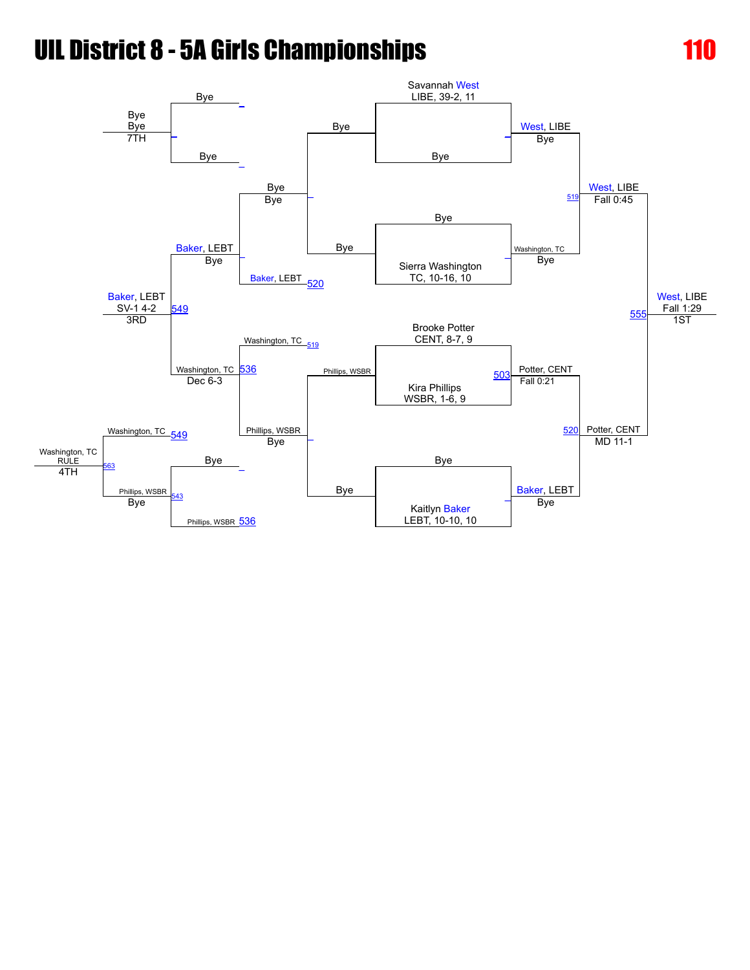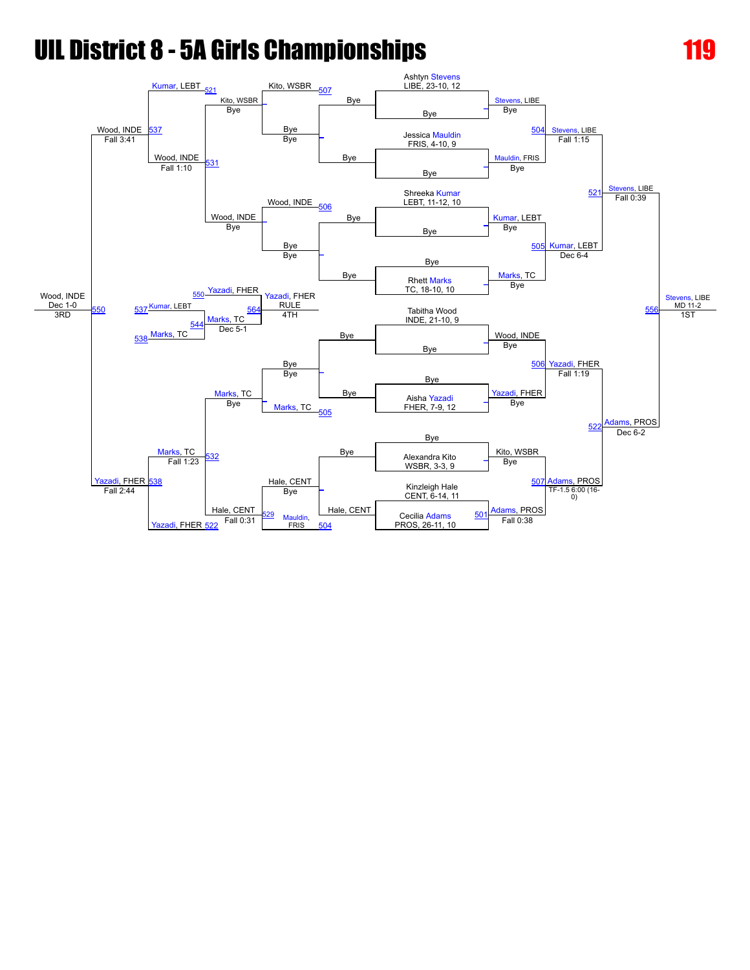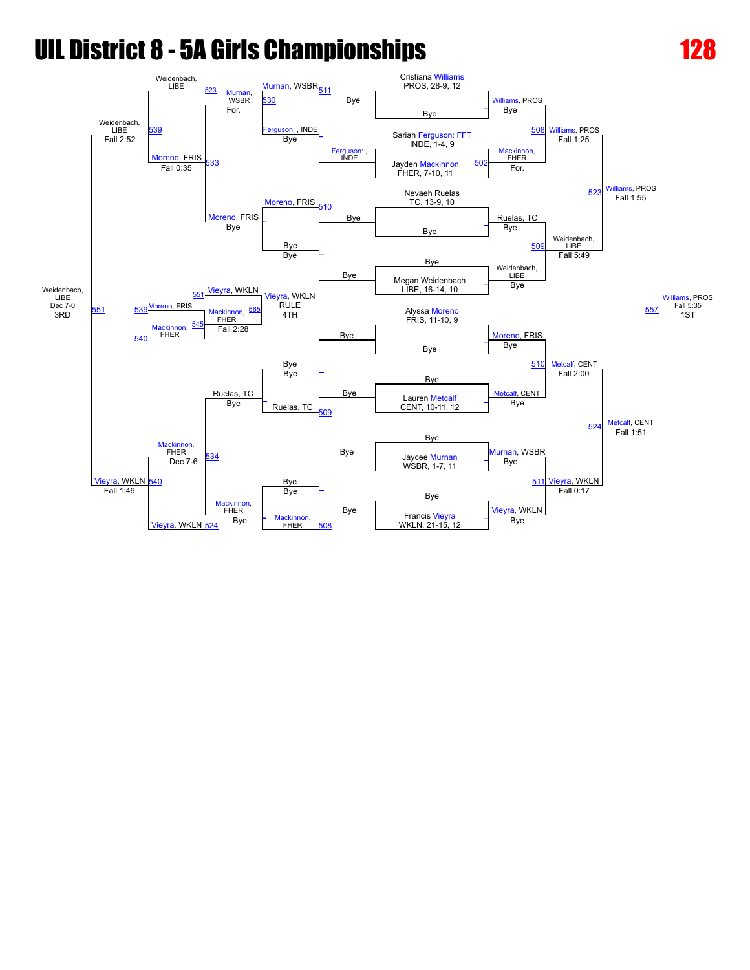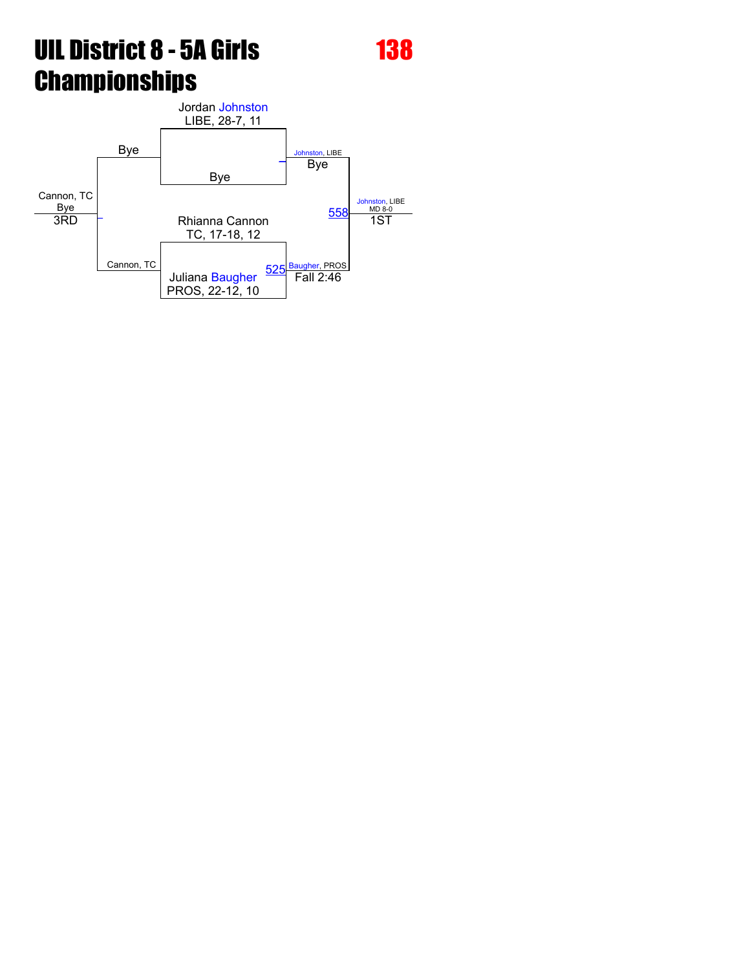Cannon, TC Bye Bye Jordan [Johnston](javascript:viewProfile(44886009)) LIBE, 28-7, 11 [Johnston,](javascript:viewProfile(44886009)) LIBE [Johnston,](javascript:viewProfile(44886009)) LIBE<br>MD 8-0 Bye [\\_](javascript:openBoutSheet(1,)  $\overline{a}$ Cannon, TC Bye <u>Bye Buse Base MD8-0</u><br>3RD - Rhianna Cannon [558](javascript:openBoutSheet(3,) 1ST TC, 17-18, 12 Juliana [Baugher](javascript:viewProfile(1278750096)) PROS, 22-12, 10 [525](javascript:openBoutSheet(2,) [Baugher,](javascript:viewProfile(1278750096)) PROS Fall 2:46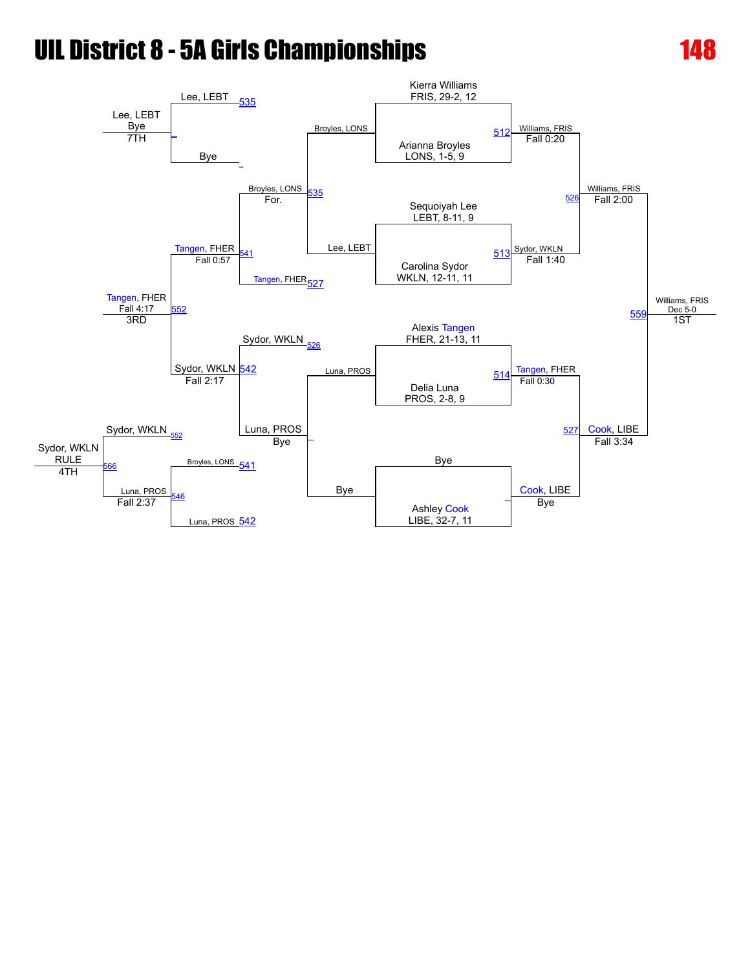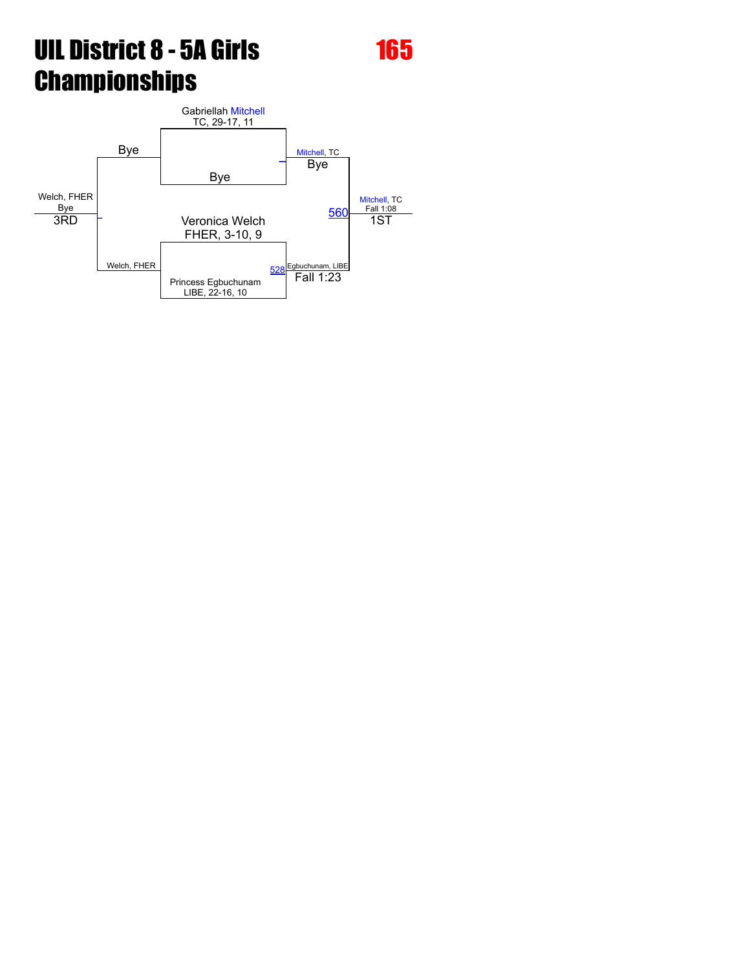Welch, FHER Bye Bye Gabriellah [Mitchell](javascript:viewProfile(1104559096)) TC, 29-17, 11 [Mitchell,](javascript:viewProfile(1104559096)) TC [Mitchell](javascript:viewProfile(1104559096)), TC<br>Fall 1:08 Bye [\\_](javascript:openBoutSheet(1,) [\\_](javascript:openBoutSheet(4,) Welch, FHER Bye <u>Bye Fall 1:08</u><br>3RD - Veronica Welch [560](javascript:openBoutSheet(3,) 1ST FHER, 3-10, 9 Princess Egbuchunam LIBE, 22-16, 10 [528](javascript:openBoutSheet(2,) Egbuchunam, LIBE<br>**Fall 1:23**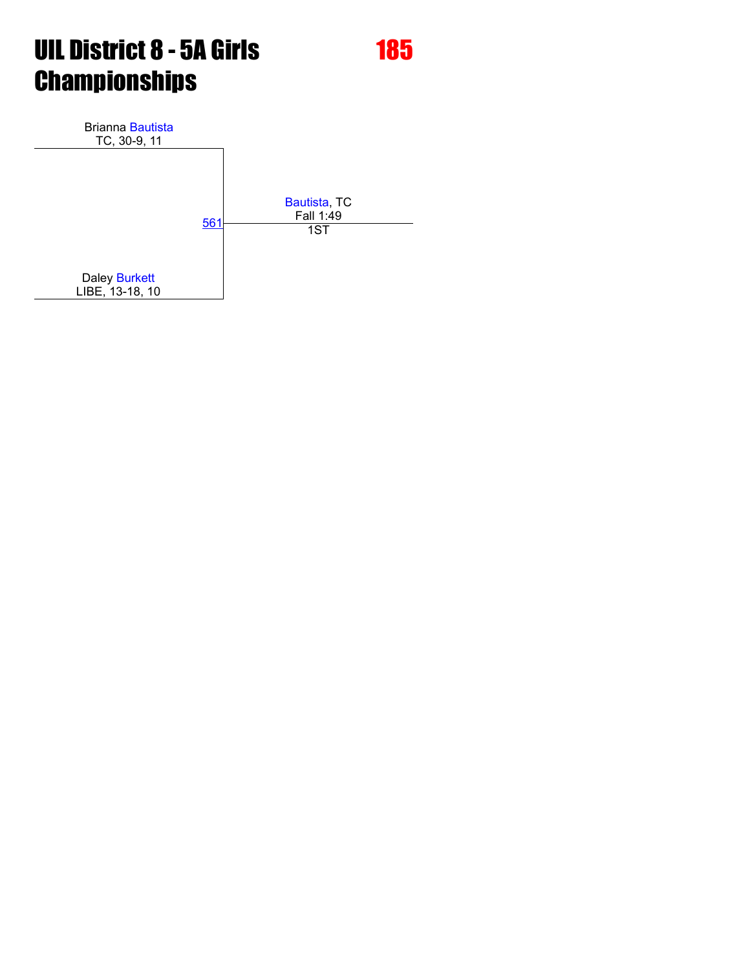